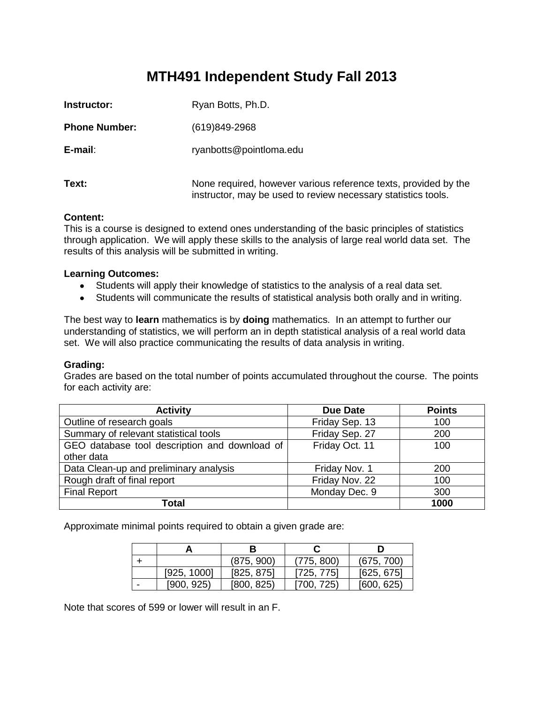# **MTH491 Independent Study Fall 2013**

| Instructor:          | Ryan Botts, Ph.D.                                                                                                                |
|----------------------|----------------------------------------------------------------------------------------------------------------------------------|
| <b>Phone Number:</b> | $(619)849-2968$                                                                                                                  |
| E-mail:              | ryanbotts@pointloma.edu                                                                                                          |
| Text:                | None required, however various reference texts, provided by the<br>instructor, may be used to review necessary statistics tools. |

### **Content:**

This is a course is designed to extend ones understanding of the basic principles of statistics through application. We will apply these skills to the analysis of large real world data set. The results of this analysis will be submitted in writing.

## **Learning Outcomes:**

- Students will apply their knowledge of statistics to the analysis of a real data set.
- Students will communicate the results of statistical analysis both orally and in writing.

The best way to **learn** mathematics is by **doing** mathematics.In an attempt to further our understanding of statistics, we will perform an in depth statistical analysis of a real world data set. We will also practice communicating the results of data analysis in writing.

### **Grading:**

Grades are based on the total number of points accumulated throughout the course. The points for each activity are:

| <b>Activity</b>                               | Due Date       | <b>Points</b> |
|-----------------------------------------------|----------------|---------------|
| Outline of research goals                     | Friday Sep. 13 | 100           |
| Summary of relevant statistical tools         | Friday Sep. 27 | 200           |
| GEO database tool description and download of | Friday Oct. 11 | 100           |
| other data                                    |                |               |
| Data Clean-up and preliminary analysis        | Friday Nov. 1  | 200           |
| Rough draft of final report                   | Friday Nov. 22 | 100           |
| <b>Final Report</b>                           | Monday Dec. 9  | 300           |
| Total                                         |                | 1000          |

Approximate minimal points required to obtain a given grade are:

|             | (875, 900) | (775, 800) | (675, 700) |
|-------------|------------|------------|------------|
| [925, 1000] | [825, 875] | [725, 775] | [625, 675] |
| [900, 925]  | [800, 825] | [700, 725) | [600, 625] |

Note that scores of 599 or lower will result in an F.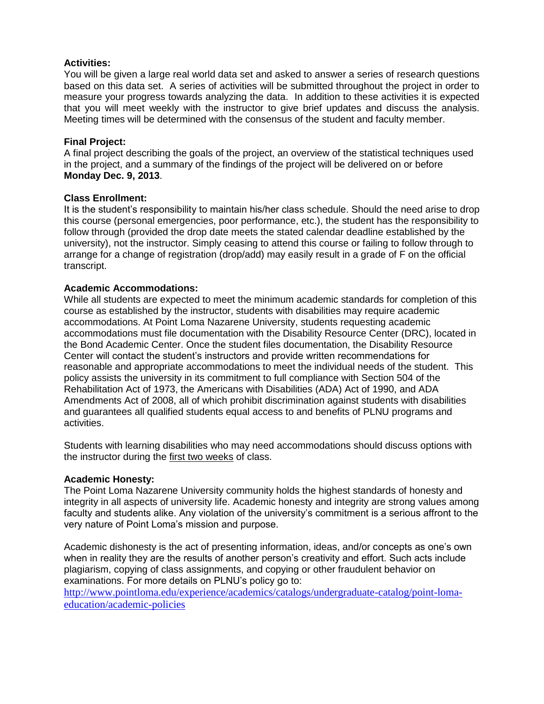## **Activities:**

You will be given a large real world data set and asked to answer a series of research questions based on this data set. A series of activities will be submitted throughout the project in order to measure your progress towards analyzing the data. In addition to these activities it is expected that you will meet weekly with the instructor to give brief updates and discuss the analysis. Meeting times will be determined with the consensus of the student and faculty member.

## **Final Project:**

A final project describing the goals of the project, an overview of the statistical techniques used in the project, and a summary of the findings of the project will be delivered on or before **Monday Dec. 9, 2013**.

## **Class Enrollment:**

It is the student's responsibility to maintain his/her class schedule. Should the need arise to drop this course (personal emergencies, poor performance, etc.), the student has the responsibility to follow through (provided the drop date meets the stated calendar deadline established by the university), not the instructor. Simply ceasing to attend this course or failing to follow through to arrange for a change of registration (drop/add) may easily result in a grade of F on the official transcript.

## **Academic Accommodations:**

While all students are expected to meet the minimum academic standards for completion of this course as established by the instructor, students with disabilities may require academic accommodations. At Point Loma Nazarene University, students requesting academic accommodations must file documentation with the Disability Resource Center (DRC), located in the Bond Academic Center. Once the student files documentation, the Disability Resource Center will contact the student's instructors and provide written recommendations for reasonable and appropriate accommodations to meet the individual needs of the student. This policy assists the university in its commitment to full compliance with Section 504 of the Rehabilitation Act of 1973, the Americans with Disabilities (ADA) Act of 1990, and ADA Amendments Act of 2008, all of which prohibit discrimination against students with disabilities and guarantees all qualified students equal access to and benefits of PLNU programs and activities.

Students with learning disabilities who may need accommodations should discuss options with the instructor during the first two weeks of class.

### **Academic Honesty:**

The Point Loma Nazarene University community holds the highest standards of honesty and integrity in all aspects of university life. Academic honesty and integrity are strong values among faculty and students alike. Any violation of the university's commitment is a serious affront to the very nature of Point Loma's mission and purpose.

Academic dishonesty is the act of presenting information, ideas, and/or concepts as one's own when in reality they are the results of another person's creativity and effort. Such acts include plagiarism, copying of class assignments, and copying or other fraudulent behavior on examinations. For more details on PLNU's policy go to:

[http://www.pointloma.edu/experience/academics/catalogs/undergraduate-catalog/point-loma](http://www.pointloma.edu/experience/academics/catalogs/undergraduate-catalog/point-loma-education/academic-policies)[education/academic-policies](http://www.pointloma.edu/experience/academics/catalogs/undergraduate-catalog/point-loma-education/academic-policies)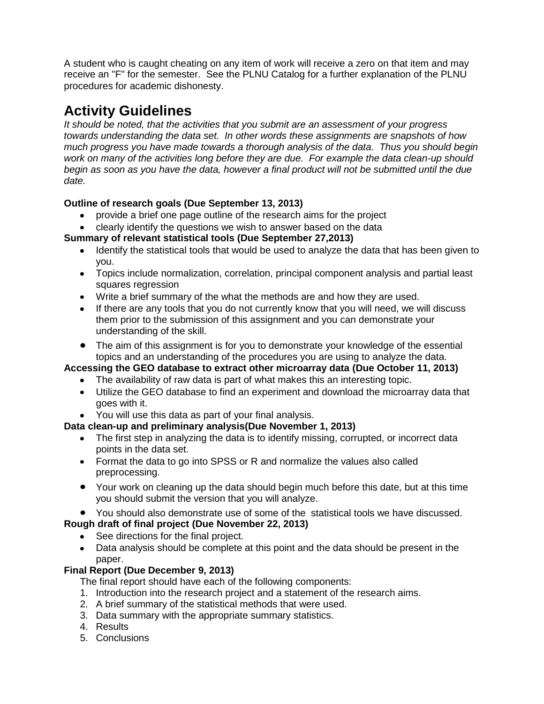A student who is caught cheating on any item of work will receive a zero on that item and may receive an "F" for the semester. See the PLNU Catalog for a further explanation of the PLNU procedures for academic dishonesty.

# **Activity Guidelines**

*It should be noted, that the activities that you submit are an assessment of your progress towards understanding the data set. In other words these assignments are snapshots of how much progress you have made towards a thorough analysis of the data. Thus you should begin work on many of the activities long before they are due. For example the data clean-up should begin as soon as you have the data, however a final product will not be submitted until the due date.*

## **Outline of research goals (Due September 13, 2013)**

- provide a brief one page outline of the research aims for the project
- clearly identify the questions we wish to answer based on the data

## **Summary of relevant statistical tools (Due September 27,2013)**

- Identify the statistical tools that would be used to analyze the data that has been given to  $\bullet$ you.
- Topics include normalization, correlation, principal component analysis and partial least squares regression
- Write a brief summary of the what the methods are and how they are used.
- If there are any tools that you do not currently know that you will need, we will discuss them prior to the submission of this assignment and you can demonstrate your understanding of the skill.
- The aim of this assignment is for you to demonstrate your knowledge of the essential topics and an understanding of the procedures you are using to analyze the data.

# **Accessing the GEO database to extract other microarray data (Due October 11, 2013)**

- The availability of raw data is part of what makes this an interesting topic.
- Utilize the GEO database to find an experiment and download the microarray data that goes with it.
- You will use this data as part of your final analysis.

# **Data clean-up and preliminary analysis(Due November 1, 2013)**

- The first step in analyzing the data is to identify missing, corrupted, or incorrect data points in the data set.
- Format the data to go into SPSS or R and normalize the values also called preprocessing.
- Your work on cleaning up the data should begin much before this date, but at this time you should submit the version that you will analyze.

# You should also demonstrate use of some of the statistical tools we have discussed.

## **Rough draft of final project (Due November 22, 2013)**

- See directions for the final project.
- Data analysis should be complete at this point and the data should be present in the paper.

## **Final Report (Due December 9, 2013)**

The final report should have each of the following components:

- 1. Introduction into the research project and a statement of the research aims.
- 2. A brief summary of the statistical methods that were used.
- 3. Data summary with the appropriate summary statistics.
- 4. Results
- 5. Conclusions